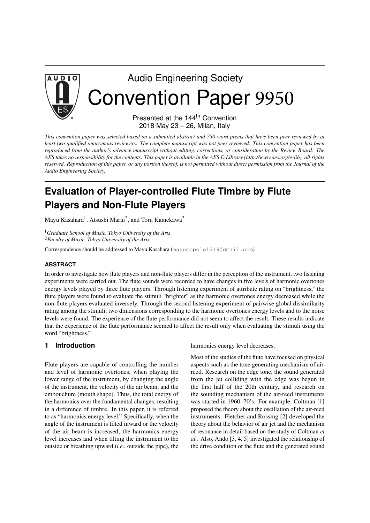

# Audio Engineering Society Convention Paper 9950

Presented at the 144<sup>th</sup> Convention 2018 May 23 – 26, Milan, Italy

This convention paper was selected based on a submitted abstract and 750-word precis that have been peer reviewed by at least two qualified anonymous reviewers. The complete manuscript was not peer reviewed. This convention paper has been reproduced from the author's advance manuscript without editing, corrections, or consideration by the Review Board. The AES takes no responsibility for the contents. This paper is available in the AES E-Library (http://www.aes.org/e-lib), all rights reserved. Reproduction of this paper, or any portion thereof, is not permitted without direct permission from the Journal of the *Audio Engineering Society.*

# **Evaluation of Player-controlled Flute Timbre by Flute Players and Non-Flute Players**

Mayu Kasahara<sup>1</sup>, Atsushi Marui<sup>2</sup>, and Toru Kamekawa<sup>2</sup>

<sup>1</sup>*Graduate School of Music, Tokyo University of the Arts* <sup>2</sup>*Faculty of Music, Tokyo University of the Arts*

Correspondence should be addressed to Mayu Kasahara (mayucopolo1219@gmail.com)

# **ABSTRACT**

In order to investigate how flute players and non-flute players differ in the perception of the instrument, two listening experiments were carried out. The flute sounds were recorded to have changes in five levels of harmonic overtones energy levels played by three flute players. Through listening experiment of attribute rating on "brightness," the flute players were found to evaluate the stimuli "brighter" as the harmonic overtones energy decreased while the non-flute players evaluated inversely. Through the second listening experiment of pairwise global dissimilarity rating among the stimuli, two dimensions corresponding to the harmonic overtones energy levels and to the noise levels were found. The experience of the flute performance did not seem to affect the result. These results indicate that the experience of the flute performance seemed to affect the result only when evaluating the stimuli using the word "brightness."

# **1 Introduction**

Flute players are capable of controlling the number and level of harmonic overtones, when playing the lower range of the instrument, by changing the angle of the instrument, the velocity of the air beam, and the embouchure (mouth shape). Thus, the total energy of the harmonics over the fundamental changes, resulting in a difference of timbre. In this paper, it is referred to as "harmonics energy level." Specifically, when the angle of the instrument is tilted inward or the velocity of the air beam is increased, the harmonics energy level increases and when tilting the instrument to the outside or breathing upward (*i.e.*, outside the pipe), the harmonics energy level decreases.

Most of the studies of the flute have focused on physical aspects such as the tone generating mechanism of airreed. Research on the edge tone, the sound generated from the jet colliding with the edge was begun in the first half of the 20th century, and research on the sounding mechanism of the air-reed instruments was started in 1960–70's. For example, Coltman [1] proposed the theory about the oscillation of the air-reed instruments. Fletcher and Rossing [2] developed the theory about the behavior of air jet and the mechanism of resonance in detail based on the study of Coltman *et al.*. Also, Ando [3, 4, 5] investigated the relationship of the drive condition of the flute and the generated sound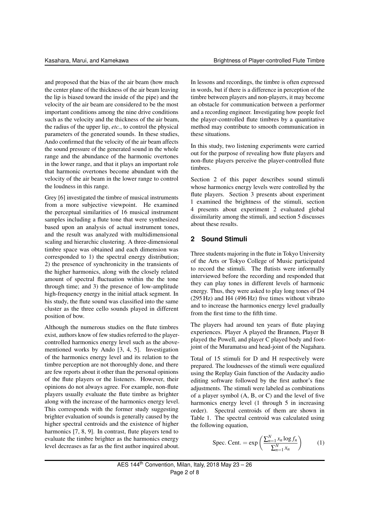and proposed that the bias of the air beam (how much the center plane of the thickness of the air beam leaving the lip is biased toward the inside of the pipe) and the velocity of the air beam are considered to be the most important conditions among the nine drive conditions such as the velocity and the thickness of the air beam, the radius of the upper lip, *etc.*, to control the physical parameters of the generated sounds. In these studies, Ando confirmed that the velocity of the air beam affects the sound pressure of the generated sound in the whole range and the abundance of the harmonic overtones in the lower range, and that it plays an important role that harmonic overtones become abundant with the velocity of the air beam in the lower range to control the loudness in this range.

Grey [6] investigated the timbre of musical instruments from a more subjective viewpoint. He examined the perceptual similarities of 16 musical instrument samples including a flute tone that were synthesized based upon an analysis of actual instrument tones, and the result was analyzed with multidimensional scaling and hierarchic clustering. A three-dimensional timbre space was obtained and each dimension was corresponded to 1) the spectral energy distribution; 2) the presence of synchronicity in the transients of the higher harmonics, along with the closely related amount of spectral fluctuation within the the tone through time; and 3) the presence of low-amplitude high-frequency energy in the initial attack segment. In his study, the flute sound was classified into the same cluster as the three cello sounds played in different position of bow.

Although the numerous studies on the flute timbres exist, authors know of few studies referred to the playercontrolled harmonics energy level such as the abovementioned works by Ando [3, 4, 5]. Investigation of the harmonics energy level and its relation to the timbre perception are not thoroughly done, and there are few reports about it other than the personal opinions of the flute players or the listeners. However, their opinions do not always agree. For example, non-flute players usually evaluate the flute timbre as brighter along with the increase of the harmonics energy level. This corresponds with the former study suggesting brighter evaluation of sounds is generally caused by the higher spectral centroids and the existence of higher harmonics [7, 8, 9]. In contrast, flute players tend to evaluate the timbre brighter as the harmonics energy level decreases as far as the first author inquired about.

In lessons and recordings, the timbre is often expressed in words, but if there is a difference in perception of the timbre between players and non-players, it may become an obstacle for communication between a performer and a recording engineer. Investigating how people feel the player-controlled flute timbres by a quantitative method may contribute to smooth communication in these situations.

In this study, two listening experiments were carried out for the purpose of revealing how flute players and non-flute players perceive the player-controlled flute timbres.

Section 2 of this paper describes sound stimuli whose harmonics energy levels were controlled by the flute players. Section 3 presents about experiment 1 examined the brightness of the stimuli, section 4 presents about experiment 2 evaluated global dissimilarity among the stimuli, and section 5 discusses about these results.

# **2 Sound Stimuli**

Three students majoring in the flute in Tokyo University of the Arts or Tokyo College of Music participated to record the stimuli. The flutists were informally interviewed before the recording and responded that they can play tones in different levels of harmonic energy. Thus, they were asked to play long tones of D4 (295 Hz) and H4 (496 Hz) five times without vibrato and to increase the harmonics energy level gradually from the first time to the fifth time.

The players had around ten years of flute playing experiences. Player A played the Brannen, Player B played the Powell, and player C played body and footjoint of the Muramatsu and head-joint of the Nagahara.

Total of 15 stimuli for D and H respectively were prepared. The loudnesses of the stimuli were equalized using the Replay Gain function of the Audacity audio editing software followed by the first author's fine adjustments. The stimuli were labeled as combinations of a player symbol (A, B, or C) and the level of five harmonics energy level (1 through 5 in increasing order). Spectral centroids of them are shown in Table 1. The spectral centroid was calculated using the following equation,

$$
\text{Spec. Cent.} = \exp\left(\frac{\sum_{n=1}^{N} x_n \log f_n}{\sum_{n=1}^{N} x_n}\right) \tag{1}
$$

AES 144<sup>th</sup> Convention, Milan, Italy, 2018 May 
$$
23 - 26
$$

\nPage 2 of 8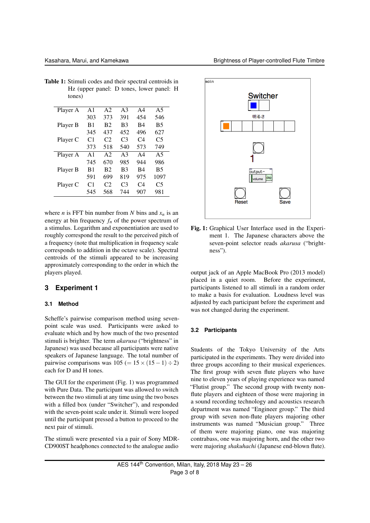| Player A | A1             | A <sub>2</sub>        | A <sup>3</sup> | A <sub>4</sub> | A <sub>5</sub> |
|----------|----------------|-----------------------|----------------|----------------|----------------|
|          | 303            | 373                   | 391            | 454            | 546            |
| Player B | B <sub>1</sub> | <b>B</b> <sub>2</sub> | B <sub>3</sub> | B4             | <b>B5</b>      |
|          | 345            | 437                   | 452            | 496            | 627            |
| Player C | C <sub>1</sub> | C2                    | C <sub>3</sub> | C4             | C5             |
|          | 373            | 518                   | 540            | 573            | 749            |
| Player A | A <sub>1</sub> | A2                    | A <sup>3</sup> | A <sub>4</sub> | A5             |
|          | 745            | 670                   | 985            | 944            | 986            |
| Player B | B1             | B <sub>2</sub>        | B <sub>3</sub> | B4             | <b>B5</b>      |
|          | 591            | 699                   | 819            | 975            | 1097           |
| Player C | C1             | C2                    | C <sub>3</sub> | $\mathsf{C}4$  | C5             |
|          | 545            | 568                   | 744            | 907            | 981            |
|          |                |                       |                |                |                |

Table 1: Stimuli codes and their spectral centroids in Hz (upper panel: D tones, lower panel: H tones)

where *n* is FFT bin number from *N* bins and  $x_n$  is an energy at bin frequency  $f_n$  of the power spectrum of a stimulus. Logarithm and exponentiation are used to roughly correspond the result to the perceived pitch of a frequency (note that multiplication in frequency scale corresponds to addition in the octave scale). Spectral centroids of the stimuli appeared to be increasing approximately corresponding to the order in which the players played.

# **3 Experiment 1**

# **3.1 Method**

Scheffe's pairwise comparison method using sevenpoint scale was used. Participants were asked to evaluate which and by how much of the two presented stimuli is brighter. The term *akarusa* ("brightness" in Japanese) was used because all participants were native speakers of Japanese language. The total number of pairwise comparisons was  $105 (= 15 \times (15 - 1) \div 2)$ each for D and H tones.

The GUI for the experiment (Fig. 1) was programmed with Pure Data. The participant was allowed to switch between the two stimuli at any time using the two boxes with a filled box (under "Switcher"), and responded with the seven-point scale under it. Stimuli were looped until the participant pressed a button to proceed to the next pair of stimuli.

The stimuli were presented via a pair of Sony MDR-CD900ST headphones connected to the analogue audio



Fig. 1: Graphical User Interface used in the Experiment 1. The Japanese characters above the seven-point selector reads *akarusa* ("brightness").

output jack of an Apple MacBook Pro (2013 model) placed in a quiet room. Before the experiment, participants listened to all stimuli in a random order to make a basis for evaluation. Loudness level was adjusted by each participant before the experiment and was not changed during the experiment.

### **3.2 Participants**

Students of the Tokyo University of the Arts participated in the experiments. They were divided into three groups according to their musical experiences. The first group with seven flute players who have nine to eleven years of playing experience was named "Flutist group." The second group with twenty nonflute players and eighteen of those were majoring in a sound recording technology and acoustics research department was named "Engineer group." The third group with seven non-flute players majoring other instruments was named "Musician group." Three of them were majoring piano, one was majoring contrabass, one was majoring horn, and the other two were majoring *shakuhachi* (Japanese end-blown flute).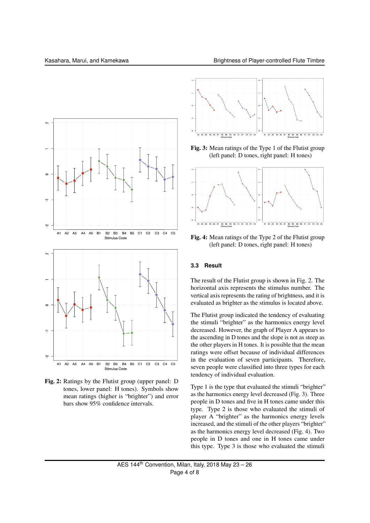

Fig. 2: Ratings by the Flutist group (upper panel: D tones, lower panel: H tones). Symbols show mean ratings (higher is "brighter") and error bars show 95% confidence intervals.



Fig. 3: Mean ratings of the Type 1 of the Flutist group (left panel: D tones, right panel: H tones)



Fig. 4: Mean ratings of the Type 2 of the Flutist group (left panel: D tones, right panel: H tones)

#### **3.3 Result**

The result of the Flutist group is shown in Fig. 2. The horizontal axis represents the stimulus number. The vertical axis represents the rating of brightness, and it is evaluated as brighter as the stimulus is located above.

The Flutist group indicated the tendency of evaluating the stimuli "brighter" as the harmonics energy level decreased. However, the graph of Player A appears to the ascending in D tones and the slope is not as steep as the other players in H tones. It is possible that the mean ratings were offset because of individual differences in the evaluation of seven participants. Therefore, seven people were classified into three types for each tendency of individual evaluation.

Type 1 is the type that evaluated the stimuli "brighter" as the harmonics energy level decreased (Fig. 3). Three people in D tones and five in H tones came under this type. Type 2 is those who evaluated the stimuli of player A "brighter" as the harmonics energy levels increased, and the stimuli of the other players "brighter" as the harmonics energy level decreased (Fig. 4). Two people in D tones and one in H tones came under this type. Type 3 is those who evaluated the stimuli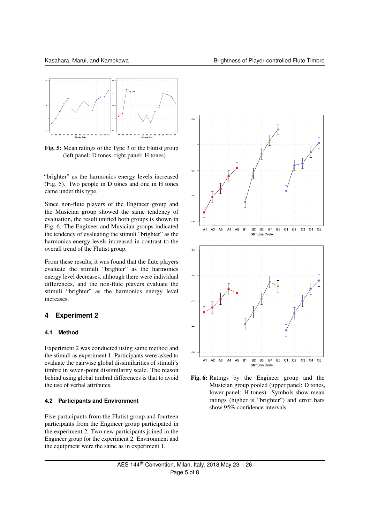

Fig. 5: Mean ratings of the Type 3 of the Flutist group (left panel: D tones, right panel: H tones)

"brighter" as the harmonics energy levels increased (Fig. 5). Two people in D tones and one in H tones came under this type.

Since non-flute players of the Engineer group and the Musician group showed the same tendency of evaluation, the result unified both groups is shown in Fig. 6. The Engineer and Musician groups indicated the tendency of evaluating the stimuli "brighter" as the harmonics energy levels increased in contrast to the overall trend of the Flutist group.

From these results, it was found that the flute players evaluate the stimuli "brighter" as the harmonics energy level decreases, although there were individual differences, and the non-flute players evaluate the stimuli "brighter" as the harmonics energy level increases.

# **4 Experiment 2**

# **4.1 Method**

Experiment 2 was conducted using same method and the stimuli as experiment 1. Participants were asked to evaluate the pairwise global dissimilarities of stimuli's timbre in seven-point dissimilarity scale. The reason behind using global timbral differences is that to avoid the use of verbal attributes.

#### **4.2 Participants and Environment**

Five participants from the Flutist group and fourteen participants from the Engineer group participated in the experiment 2. Two new participants joined in the Engineer group for the experiment 2. Environment and the equipment were the same as in experiment 1.



Fig. 6: Ratings by the Engineer group and the Musician group pooled (upper panel: D tones, lower panel: H tones). Symbols show mean ratings (higher is "brighter") and error bars show 95% confidence intervals.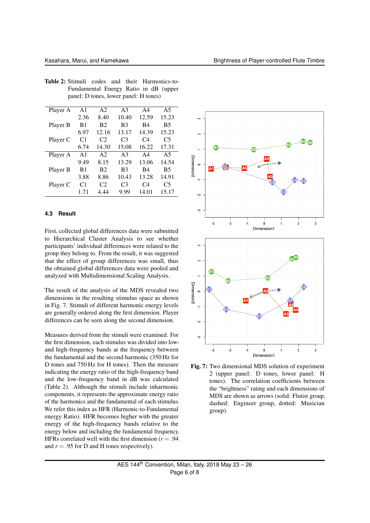| Player A | A1             | A2             | A <sup>3</sup> | A <sub>4</sub> | A5             |
|----------|----------------|----------------|----------------|----------------|----------------|
|          | 2.36           | 8.40           | 10.40          | 12.59          | 15.23          |
| Player B | B <sub>1</sub> | <b>B2</b>      | B <sub>3</sub> | B4             | <b>B5</b>      |
|          | 6.97           | 12.16          | 13.17          | 14.39          | 15.23          |
| Player C | C <sub>1</sub> | C2             | C <sub>3</sub> | C4             | C5             |
|          | 6.74           | 14.30          | 15.08          | 16.22          | 17.31          |
| Player A | A <sub>1</sub> | A <sub>2</sub> | A <sup>3</sup> | A <sub>4</sub> | A <sub>5</sub> |
|          | 9.49           | 8.15           | 13.29          | 13.06          | 14.54          |
| Player B | B1             | B <sub>2</sub> | B <sub>3</sub> | B4             | <b>B5</b>      |
|          | 3.88           | 8.86           | 10.43          | 13.28          | 14.91          |
| Player C | C <sub>1</sub> | C2             | C <sub>3</sub> | C <sub>4</sub> | C5             |
|          | 1.71           | 4.44           | 9.99           | 14.01          | 15.17          |
|          |                |                |                |                |                |

#### Table 2: Stimuli codes and their Harmonics-to-Fundamental Energy Ratio in dB (upper panel: D tones, lower panel: H tones)

# **4.3 Result**

First, collected global differences data were submitted to Hierarchical Cluster Analysis to see whether participants' individual differences were related to the group they belong to. From the result, it was suggested that the effect of group differences was small, thus the obtained global differences data were pooled and analyzed with Multidimensional Scaling Analysis.

The result of the analysis of the MDS revealed two dimensions in the resulting stimulus space as shown in Fig. 7. Stimuli of different harmonic energy levels are generally ordered along the first dimension. Player differences can be seen along the second dimension.

Measures derived from the stimuli were examined. For the first dimension, each stimulus was divided into lowand high-frequency bands at the frequency between the fundamental and the second harmonic (350 Hz for D tones and 750 Hz for H tones). Then the measure indicating the energy ratio of the high-frequency band and the low-frequency band in dB was calculated (Table 2). Although the stimuli include inharmonic components, it represents the approximate energy ratio of the harmonics and the fundamental of each stimulus. We refer this index as HFR (Harmonic-to-Fundamental energy Ratio). HFR becomes higher with the greater energy of the high-frequency bands relative to the energy below and including the fundamental frequency. HFRs correlated well with the first dimension  $(r = .94)$ and  $r = .95$  for D and H tones respectively).



Fig. 7: Two dimensional MDS solution of experiment 2 (upper panel: D tones, lower panel: H tones). The correlation coefficients between the "brightness" rating and each dimensions of MDS are shown as arrows (solid: Flutist group, dashed: Engineer group, dotted: Musician group).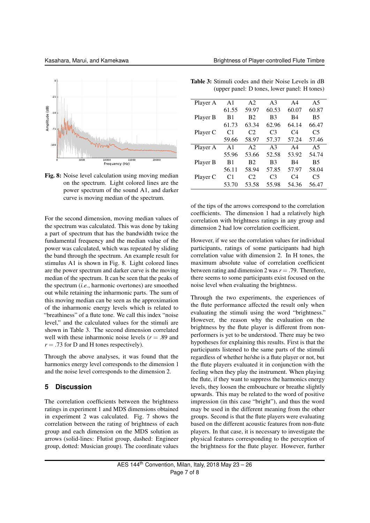

Fig. 8: Noise level calculation using moving median on the spectrum. Light colored lines are the power spectrum of the sound A1, and darker curve is moving median of the spectrum.

For the second dimension, moving median values of the spectrum was calculated. This was done by taking a part of spectrum that has the bandwidth twice the fundamental frequency and the median value of the power was calculated, which was repeated by sliding the band through the spectrum. An example result for stimulus A1 is shown in Fig. 8. Light colored lines are the power spectrum and darker curve is the moving median of the spectrum. It can be seen that the peaks of the spectrum (*i.e.*, harmonic overtones) are smoothed out while retaining the inharmonic parts. The sum of this moving median can be seen as the approximation of the inharmonic energy levels which is related to "breathiness" of a flute tone. We call this index "noise level," and the calculated values for the stimuli are shown in Table 3. The second dimension correlated well with these inharmonic noise levels  $(r = .89)$  and  $r = .73$  for D and H tones respectively).

Through the above analyses, it was found that the harmonics energy level corresponds to the dimension 1 and the noise level corresponds to the dimension 2.

# **5 Discussion**

The correlation coefficients between the brightness ratings in experiment 1 and MDS dimensions obtained in experiment 2 was calculated. Fig. 7 shows the correlation between the rating of brightness of each group and each dimension on the MDS solution as arrows (solid-lines: Flutist group, dashed: Engineer group, dotted: Musician group). The coordinate values

| A1             | A <sub>2</sub>        | A <sub>3</sub> | A <sub>4</sub> | A5             |
|----------------|-----------------------|----------------|----------------|----------------|
| 61.55          | 59.97                 | 60.53          | 60.07          | 60.87          |
| B1             | B <sub>2</sub>        | B <sub>3</sub> | B4             | <b>B5</b>      |
| 61.73          | 63.34                 | 62.96          | 64.14          | 66.47          |
| C <sub>1</sub> | C2                    | C <sub>3</sub> | C4             | C5             |
| 59.66          | 58.97                 | 57.37          | 57.24          | 57.46          |
| A <sub>1</sub> | A2                    | A <sup>3</sup> | AA             | A <sub>5</sub> |
| 55.96          | 53.66                 | 52.58          | 53.92          | 54.74          |
| B <sub>1</sub> | <b>B</b> <sub>2</sub> | B <sub>3</sub> | B4             | <b>B5</b>      |
| 56.11          | 58.94                 | 57.85          | 57.97          | 58.04          |
| C <sub>1</sub> | C2                    | C <sub>3</sub> | C <sub>4</sub> | C5             |
| 53.70          | 53.58                 | 55.98          | 54.36          | 56.47          |
|                |                       |                |                |                |

Table 3: Stimuli codes and their Noise Levels in dB (upper panel: D tones, lower panel: H tones)

of the tips of the arrows correspond to the correlation coefficients. The dimension 1 had a relatively high correlation with brightness ratings in any group and dimension 2 had low correlation coefficient.

However, if we see the correlation values for individual participants, ratings of some participants had high correlation value with dimension 2. In H tones, the maximum absolute value of correlation coefficient between rating and dimension 2 was  $r = .79$ . Therefore, there seems to some participants exist focused on the noise level when evaluating the brightness.

Through the two experiments, the experiences of the flute performance affected the result only when evaluating the stimuli using the word "brightness." However, the reason why the evaluation on the brightness by the flute player is different from nonperformers is yet to be understood. There may be two hypotheses for explaining this results. First is that the participants listened to the same parts of the stimuli regardless of whether he/she is a flute player or not, but the flute players evaluated it in conjunction with the feeling when they play the instrument. When playing the flute, if they want to suppress the harmonics energy levels, they loosen the embouchure or breathe slightly upwards. This may be related to the word of positive impression (in this case "bright"), and thus the word may be used in the different meaning from the other groups. Second is that the flute players were evaluating based on the different acoustic features from non-flute players. In that case, it is necessary to investigate the physical features corresponding to the perception of the brightness for the flute player. However, further